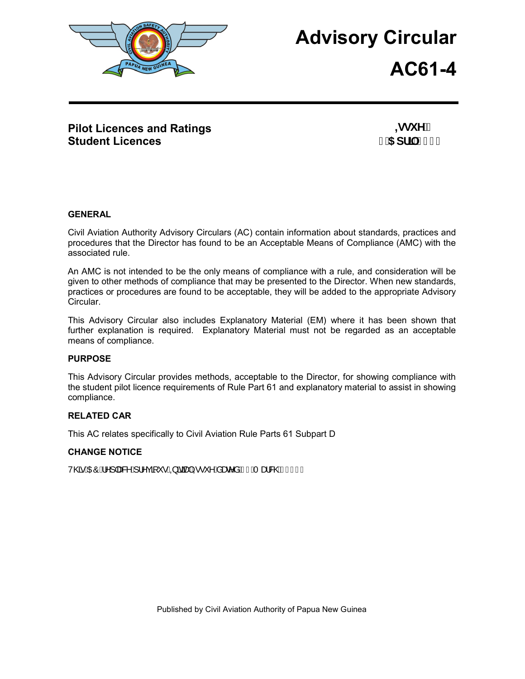

# **Advisory Circular**

**AC61-4**

## **Pilot Licences and Ratings Student Licences**

**,ggi Y**<sup>3</sup>% %5 df1 8\$%

#### **GENERAL**

Civil Aviation Authority Advisory Circulars (AC) contain information about standards, practices and procedures that the Director has found to be an Acceptable Means of Compliance (AMC) with the associated rule.

An AMC is not intended to be the only means of compliance with a rule, and consideration will be given to other methods of compliance that may be presented to the Director. When new standards, practices or procedures are found to be acceptable, they will be added to the appropriate Advisory Circular.

This Advisory Circular also includes Explanatory Material (EM) where it has been shown that further explanation is required. Explanatory Material must not be regarded as an acceptable means of compliance.

#### **PURPOSE**

This Advisory Circular provides methods, acceptable to the Director, for showing compliance with the student pilot licence requirements of Rule Part 61 and explanatory material to assist in showing compliance.

#### **RELATED CAR**

This AC relates specifically to Civil Aviation Rule Parts 61 Subpart D

#### **CHANGE NOTICE**

VO ACCÓ ÁN 1288 A 12 C T · AQ THANG · A A BEAT EAR ON CHECH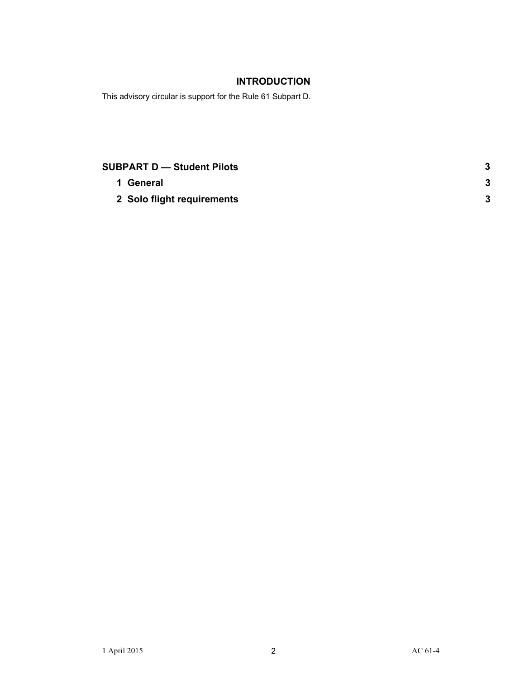### **INTRODUCTION**

This advisory circular is support for the Rule 61 Subpart D.

| <b>SUBPART D - Student Pilots</b> |  |
|-----------------------------------|--|
| 1 General                         |  |
| 2 Solo flight requirements        |  |